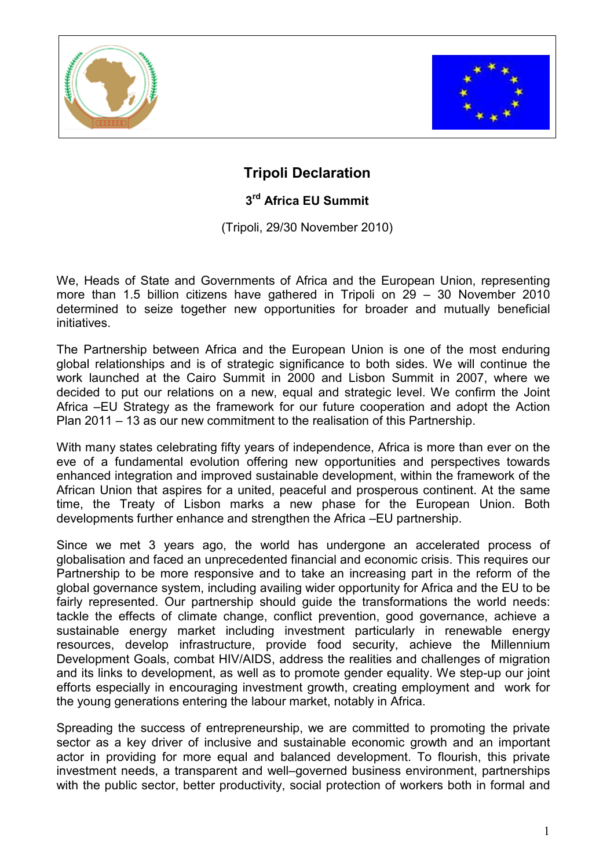



## Tripoli Declaration

## 3<sup>rd</sup> Africa EU Summit

(Tripoli, 29/30 November 2010)

We, Heads of State and Governments of Africa and the European Union, representing more than 1.5 billion citizens have gathered in Tripoli on 29 – 30 November 2010 determined to seize together new opportunities for broader and mutually beneficial initiatives.

The Partnership between Africa and the European Union is one of the most enduring global relationships and is of strategic significance to both sides. We will continue the work launched at the Cairo Summit in 2000 and Lisbon Summit in 2007, where we decided to put our relations on a new, equal and strategic level. We confirm the Joint Africa –EU Strategy as the framework for our future cooperation and adopt the Action Plan 2011 – 13 as our new commitment to the realisation of this Partnership.

With many states celebrating fifty years of independence, Africa is more than ever on the eve of a fundamental evolution offering new opportunities and perspectives towards enhanced integration and improved sustainable development, within the framework of the African Union that aspires for a united, peaceful and prosperous continent. At the same time, the Treaty of Lisbon marks a new phase for the European Union. Both developments further enhance and strengthen the Africa –EU partnership.

Since we met 3 years ago, the world has undergone an accelerated process of globalisation and faced an unprecedented financial and economic crisis. This requires our Partnership to be more responsive and to take an increasing part in the reform of the global governance system, including availing wider opportunity for Africa and the EU to be fairly represented. Our partnership should guide the transformations the world needs: tackle the effects of climate change, conflict prevention, good governance, achieve a sustainable energy market including investment particularly in renewable energy resources, develop infrastructure, provide food security, achieve the Millennium Development Goals, combat HIV/AIDS, address the realities and challenges of migration and its links to development, as well as to promote gender equality. We step-up our joint efforts especially in encouraging investment growth, creating employment and work for the young generations entering the labour market, notably in Africa.

Spreading the success of entrepreneurship, we are committed to promoting the private sector as a key driver of inclusive and sustainable economic growth and an important actor in providing for more equal and balanced development. To flourish, this private investment needs, a transparent and well–governed business environment, partnerships with the public sector, better productivity, social protection of workers both in formal and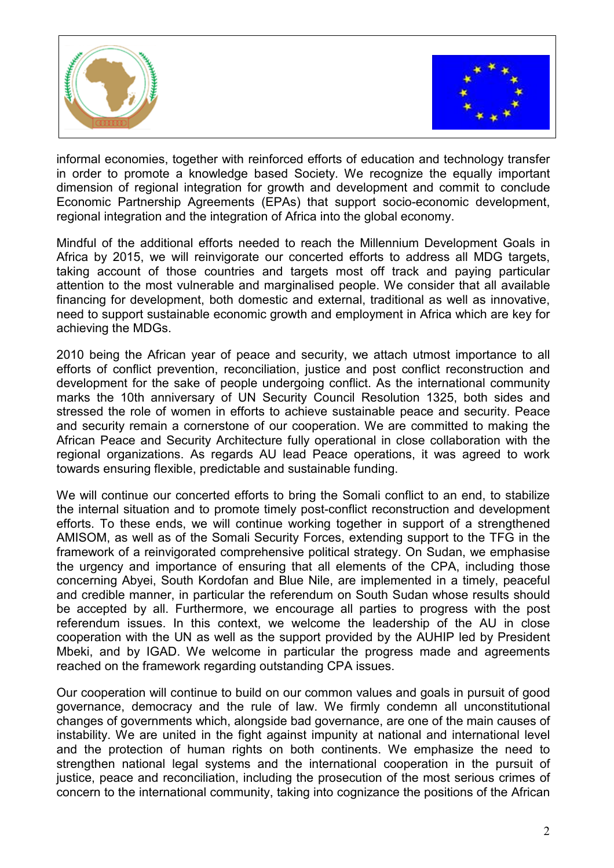



informal economies, together with reinforced efforts of education and technology transfer in order to promote a knowledge based Society. We recognize the equally important dimension of regional integration for growth and development and commit to conclude Economic Partnership Agreements (EPAs) that support socio-economic development, regional integration and the integration of Africa into the global economy.

Mindful of the additional efforts needed to reach the Millennium Development Goals in Africa by 2015, we will reinvigorate our concerted efforts to address all MDG targets, taking account of those countries and targets most off track and paying particular attention to the most vulnerable and marginalised people. We consider that all available financing for development, both domestic and external, traditional as well as innovative, need to support sustainable economic growth and employment in Africa which are key for achieving the MDGs.

2010 being the African year of peace and security, we attach utmost importance to all efforts of conflict prevention, reconciliation, justice and post conflict reconstruction and development for the sake of people undergoing conflict. As the international community marks the 10th anniversary of UN Security Council Resolution 1325, both sides and stressed the role of women in efforts to achieve sustainable peace and security. Peace and security remain a cornerstone of our cooperation. We are committed to making the African Peace and Security Architecture fully operational in close collaboration with the regional organizations. As regards AU lead Peace operations, it was agreed to work towards ensuring flexible, predictable and sustainable funding.

We will continue our concerted efforts to bring the Somali conflict to an end, to stabilize the internal situation and to promote timely post-conflict reconstruction and development efforts. To these ends, we will continue working together in support of a strengthened AMISOM, as well as of the Somali Security Forces, extending support to the TFG in the framework of a reinvigorated comprehensive political strategy. On Sudan, we emphasise the urgency and importance of ensuring that all elements of the CPA, including those concerning Abyei, South Kordofan and Blue Nile, are implemented in a timely, peaceful and credible manner, in particular the referendum on South Sudan whose results should be accepted by all. Furthermore, we encourage all parties to progress with the post referendum issues. In this context, we welcome the leadership of the AU in close cooperation with the UN as well as the support provided by the AUHIP led by President Mbeki, and by IGAD. We welcome in particular the progress made and agreements reached on the framework regarding outstanding CPA issues.

Our cooperation will continue to build on our common values and goals in pursuit of good governance, democracy and the rule of law. We firmly condemn all unconstitutional changes of governments which, alongside bad governance, are one of the main causes of instability. We are united in the fight against impunity at national and international level and the protection of human rights on both continents. We emphasize the need to strengthen national legal systems and the international cooperation in the pursuit of justice, peace and reconciliation, including the prosecution of the most serious crimes of concern to the international community, taking into cognizance the positions of the African